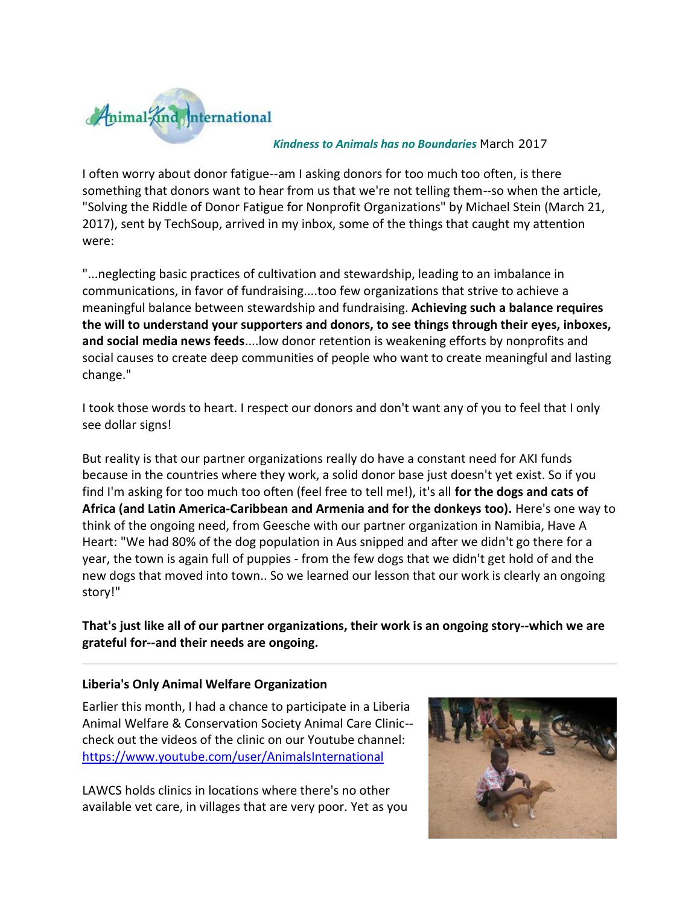

#### *Kindness to Animals has no Boundaries* March 2017

I often worry about donor fatigue--am I asking donors for too much too often, is there something that donors want to hear from us that we're not telling them--so when the article, "Solving the Riddle of Donor Fatigue for Nonprofit Organizations" by Michael Stein (March 21, 2017), sent by TechSoup, arrived in my inbox, some of the things that caught my attention were:

"...neglecting basic practices of cultivation and stewardship, leading to an imbalance in communications, in favor of fundraising....too few organizations that strive to achieve a meaningful balance between stewardship and fundraising. **Achieving such a balance requires the will to understand your supporters and donors, to see things through their eyes, inboxes, and social media news feeds**....low donor retention is weakening efforts by nonprofits and social causes to create deep communities of people who want to create meaningful and lasting change."

I took those words to heart. I respect our donors and don't want any of you to feel that I only see dollar signs!

But reality is that our partner organizations really do have a constant need for AKI funds because in the countries where they work, a solid donor base just doesn't yet exist. So if you find I'm asking for too much too often (feel free to tell me!), it's all **for the dogs and cats of Africa (and Latin America-Caribbean and Armenia and for the donkeys too).** Here's one way to think of the ongoing need, from Geesche with our partner organization in Namibia, Have A Heart: "We had 80% of the dog population in Aus snipped and after we didn't go there for a year, the town is again full of puppies - from the few dogs that we didn't get hold of and the new dogs that moved into town.. So we learned our lesson that our work is clearly an ongoing story!"

**That's just like all of our partner organizations, their work is an ongoing story--which we are grateful for--and their needs are ongoing.** 

#### **Liberia's Only Animal Welfare Organization**

Earlier this month, I had a chance to participate in a Liberia Animal Welfare & Conservation Society Animal Care Clinic- check out the videos of the clinic on our Youtube channel: [https://www.youtube.com/user/AnimalsInternational](http://cts.vresp.com/c/?AnimalKindInternatio/b7893dd69f/f33df9aebc/5c542a1393)

LAWCS holds clinics in locations where there's no other available vet care, in villages that are very poor. Yet as you

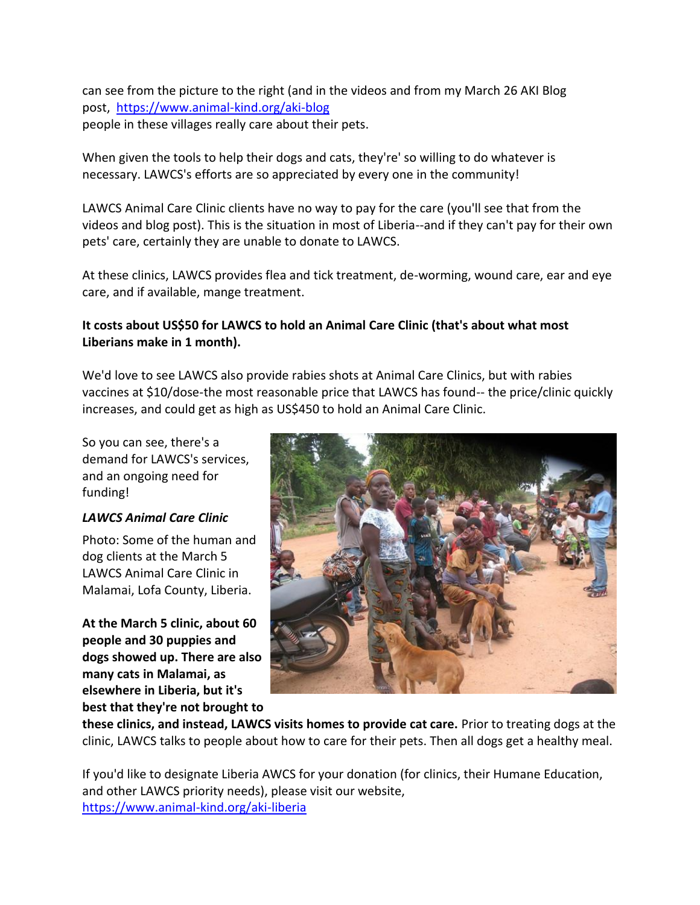can see from the picture to the right (and in the videos and from my March 26 AKI Blog post, [https://www.animal-kind.org/aki-blog](http://cts.vresp.com/c/?AnimalKindInternatio/b7893dd69f/f33df9aebc/0ee20cef97) people in these villages really care about their pets.

When given the tools to help their dogs and cats, they're' so willing to do whatever is necessary. LAWCS's efforts are so appreciated by every one in the community!

LAWCS Animal Care Clinic clients have no way to pay for the care (you'll see that from the videos and blog post). This is the situation in most of Liberia--and if they can't pay for their own pets' care, certainly they are unable to donate to LAWCS.

At these clinics, LAWCS provides flea and tick treatment, de-worming, wound care, ear and eye care, and if available, mange treatment.

# **It costs about US\$50 for LAWCS to hold an Animal Care Clinic (that's about what most Liberians make in 1 month).**

We'd love to see LAWCS also provide rabies shots at Animal Care Clinics, but with rabies vaccines at \$10/dose-the most reasonable price that LAWCS has found-- the price/clinic quickly increases, and could get as high as US\$450 to hold an Animal Care Clinic.

So you can see, there's a demand for LAWCS's services, and an ongoing need for funding!

## *LAWCS Animal Care Clinic*

Photo: Some of the human and dog clients at the March 5 LAWCS Animal Care Clinic in Malamai, Lofa County, Liberia.

**At the March 5 clinic, about 60 people and 30 puppies and dogs showed up. There are also many cats in Malamai, as elsewhere in Liberia, but it's best that they're not brought to** 



**these clinics, and instead, LAWCS visits homes to provide cat care.** Prior to treating dogs at the clinic, LAWCS talks to people about how to care for their pets. Then all dogs get a healthy meal.

If you'd like to designate Liberia AWCS for your donation (for clinics, their Humane Education, and other LAWCS priority needs), please visit our website, [https://www.animal-kind.org/aki-liberia](http://cts.vresp.com/c/?AnimalKindInternatio/b7893dd69f/f33df9aebc/c4302ee329)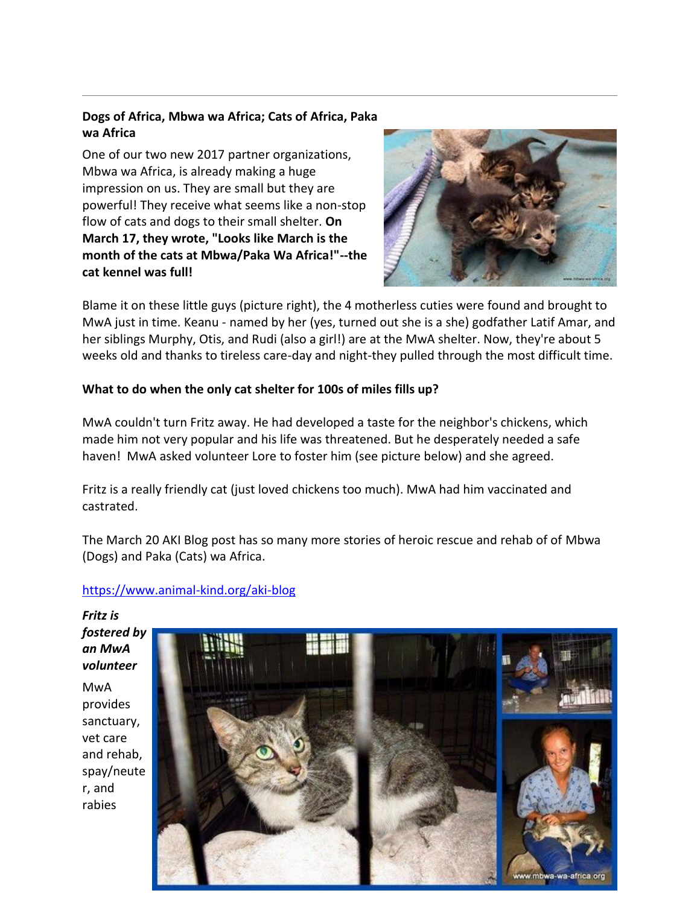# **Dogs of Africa, Mbwa wa Africa; Cats of Africa, Paka wa Africa**

One of our two new 2017 partner organizations, Mbwa wa Africa, is already making a huge impression on us. They are small but they are powerful! They receive what seems like a non-stop flow of cats and dogs to their small shelter. **On March 17, they wrote, "Looks like March is the month of the cats at Mbwa/Paka Wa Africa!"--the cat kennel was full!** 



Blame it on these little guys (picture right), the 4 motherless cuties were found and brought to MwA just in time. Keanu - named by her (yes, turned out she is a she) godfather Latif Amar, and her siblings Murphy, Otis, and Rudi (also a girl!) are at the MwA shelter. Now, they're about 5 weeks old and thanks to tireless care-day and night-they pulled through the most difficult time.

## **What to do when the only cat shelter for 100s of miles fills up?**

MwA couldn't turn Fritz away. He had developed a taste for the neighbor's chickens, which made him not very popular and his life was threatened. But he desperately needed a safe haven! MwA asked volunteer Lore to foster him (see picture below) and she agreed.

Fritz is a really friendly cat (just loved chickens too much). MwA had him vaccinated and castrated.

The March 20 AKI Blog post has so many more stories of heroic rescue and rehab of of Mbwa (Dogs) and Paka (Cats) wa Africa.

## [https://www.animal-kind.org/aki-blog](http://cts.vresp.com/c/?AnimalKindInternatio/b7893dd69f/f33df9aebc/66b0d56d04)

*Fritz is fostered by an MwA volunteer* MwA provides sanctuary, vet care and rehab, spay/neute r, and rabies

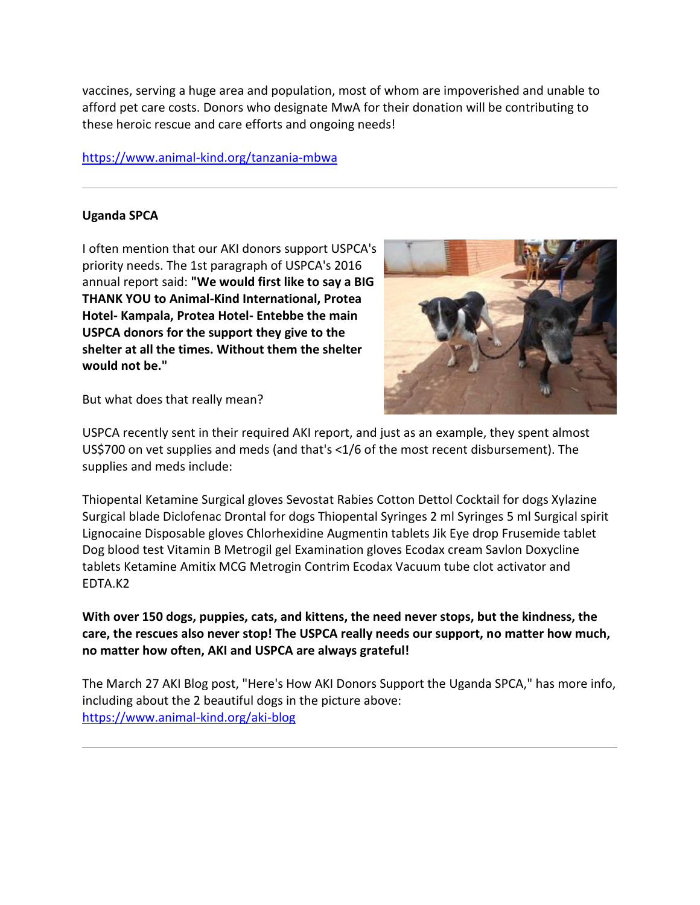vaccines, serving a huge area and population, most of whom are impoverished and unable to afford pet care costs. Donors who designate MwA for their donation will be contributing to these heroic rescue and care efforts and ongoing needs!

#### [https://www.animal-kind.org/tanzania-mbwa](http://cts.vresp.com/c/?AnimalKindInternatio/b7893dd69f/f33df9aebc/b503bee97a)

#### **Uganda SPCA**

I often mention that our AKI donors support USPCA's priority needs. The 1st paragraph of USPCA's 2016 annual report said: **"We would first like to say a BIG THANK YOU to Animal-Kind International, Protea Hotel- Kampala, Protea Hotel- Entebbe the main USPCA donors for the support they give to the shelter at all the times. Without them the shelter would not be."** 



But what does that really mean?

USPCA recently sent in their required AKI report, and just as an example, they spent almost US\$700 on vet supplies and meds (and that's <1/6 of the most recent disbursement). The supplies and meds include:

Thiopental Ketamine Surgical gloves Sevostat Rabies Cotton Dettol Cocktail for dogs Xylazine Surgical blade Diclofenac Drontal for dogs Thiopental Syringes 2 ml Syringes 5 ml Surgical spirit Lignocaine Disposable gloves Chlorhexidine Augmentin tablets Jik Eye drop Frusemide tablet Dog blood test Vitamin B Metrogil gel Examination gloves Ecodax cream Savlon Doxycline tablets Ketamine Amitix MCG Metrogin Contrim Ecodax Vacuum tube clot activator and EDTA.K2

**With over 150 dogs, puppies, cats, and kittens, the need never stops, but the kindness, the care, the rescues also never stop! The USPCA really needs our support, no matter how much, no matter how often, AKI and USPCA are always grateful!** 

The March 27 AKI Blog post, "Here's How AKI Donors Support the Uganda SPCA," has more info, including about the 2 beautiful dogs in the picture above: [https://www.animal-kind.org/aki-blog](http://cts.vresp.com/c/?AnimalKindInternatio/b7893dd69f/f33df9aebc/f71dfc7e54)